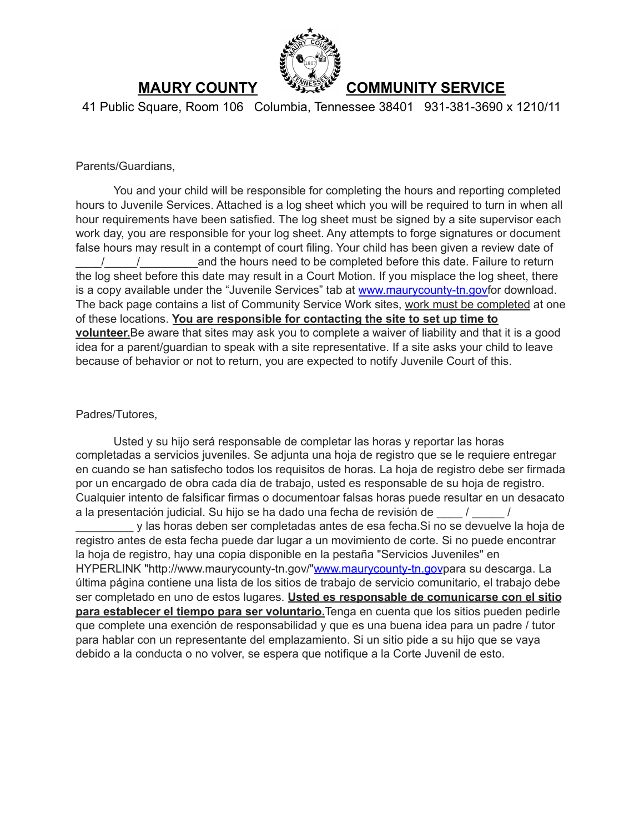

41 Public Square, Room 106 Columbia, Tennessee 38401 931-381-3690 x 1210/11

Parents/Guardians,

You and your child will be responsible for completing the hours and reporting completed hours to Juvenile Services. Attached is a log sheet which you will be required to turn in when all hour requirements have been satisfied. The log sheet must be signed by a site supervisor each work day, you are responsible for your log sheet. Any attempts to forge signatures or document false hours may result in a contempt of court filing. Your child has been given a review date of / / and the hours need to be completed before this date. Failure to return the log sheet before this date may result in a Court Motion. If you misplace the log sheet, there is a copy available under the "Juvenile Services" tab at www.maurycounty-tn.govfor download. The back page contains a list of Community Service Work sites, work must be completed at one of these locations. **You are responsible for contacting the site to set up time to volunteer.**Be aware that sites may ask you to complete a waiver of liability and that it is a good idea for a parent/guardian to speak with a site representative. If a site asks your child to leave because of behavior or not to return, you are expected to notify Juvenile Court of this.

#### Padres/Tutores,

Usted y su hijo será responsable de completar las horas y reportar las horas completadas a servicios juveniles. Se adjunta una hoja de registro que se le requiere entregar en cuando se han satisfecho todos los requisitos de horas. La hoja de registro debe ser firmada por un encargado de obra cada día de trabajo, usted es responsable de su hoja de registro. Cualquier intento de falsificar firmas o documentoar falsas horas puede resultar en un desacato a la presentación judicial. Su hijo se ha dado una fecha de revisión de \_\_\_\_ / \_\_\_\_\_ /

\_\_\_\_\_\_\_\_\_ y las horas deben ser completadas antes de esa fecha.Si no se devuelve la hoja de registro antes de esta fecha puede dar lugar a un movimiento de corte. Si no puede encontrar la hoja de registro, hay una copia disponible en la pestaña "Servicios Juveniles" en HYPERLINK "http://www.maurycounty-tn.gov/"www.maurycounty-tn.govpara su descarga. La última página contiene una lista de los sitios de trabajo de servicio comunitario, el trabajo debe ser completado en uno de estos lugares. **Usted es responsable de comunicarse con el sitio para establecer el tiempo para ser voluntario.**Tenga en cuenta que los sitios pueden pedirle que complete una exención de responsabilidad y que es una buena idea para un padre / tutor para hablar con un representante del emplazamiento. Si un sitio pide a su hijo que se vaya debido a la conducta o no volver, se espera que notifique a la Corte Juvenil de esto.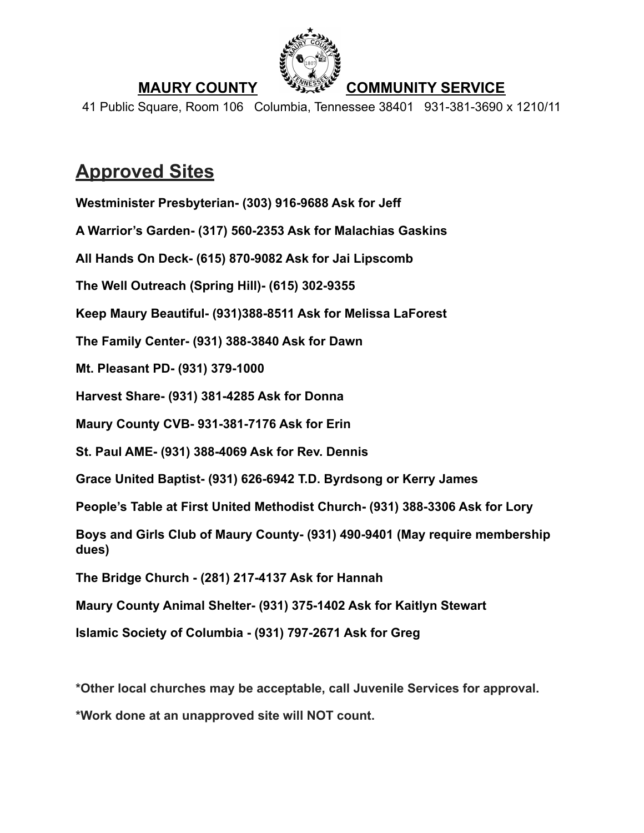

41 Public Square, Room 106 Columbia, Tennessee 38401 931-381-3690 x 1210/11

# **Approved Sites**

**Westminister Presbyterian- (303) 916-9688 Ask for Jeff**

**A Warrior's Garden- (317) 560-2353 Ask for Malachias Gaskins**

**All Hands On Deck- (615) 870-9082 Ask for Jai Lipscomb**

**The Well Outreach (Spring Hill)- (615) 302-9355**

**Keep Maury Beautiful- (931)388-8511 Ask for Melissa LaForest**

**The Family Center- (931) 388-3840 Ask for Dawn**

**Mt. Pleasant PD- (931) 379-1000**

**Harvest Share- (931) 381-4285 Ask for Donna**

**Maury County CVB- 931-381-7176 Ask for Erin**

**St. Paul AME- (931) 388-4069 Ask for Rev. Dennis**

**Grace United Baptist- (931) 626-6942 T.D. Byrdsong or Kerry James**

**People's Table at First United Methodist Church- (931) 388-3306 Ask for Lory**

**Boys and Girls Club of Maury County- (931) 490-9401 (May require membership dues)**

**The Bridge Church - (281) 217-4137 Ask for Hannah**

**Maury County Animal Shelter- (931) 375-1402 Ask for Kaitlyn Stewart**

**Islamic Society of Columbia - (931) 797-2671 Ask for Greg**

**\*Other local churches may be acceptable, call Juvenile Services for approval.**

**\*Work done at an unapproved site will NOT count.**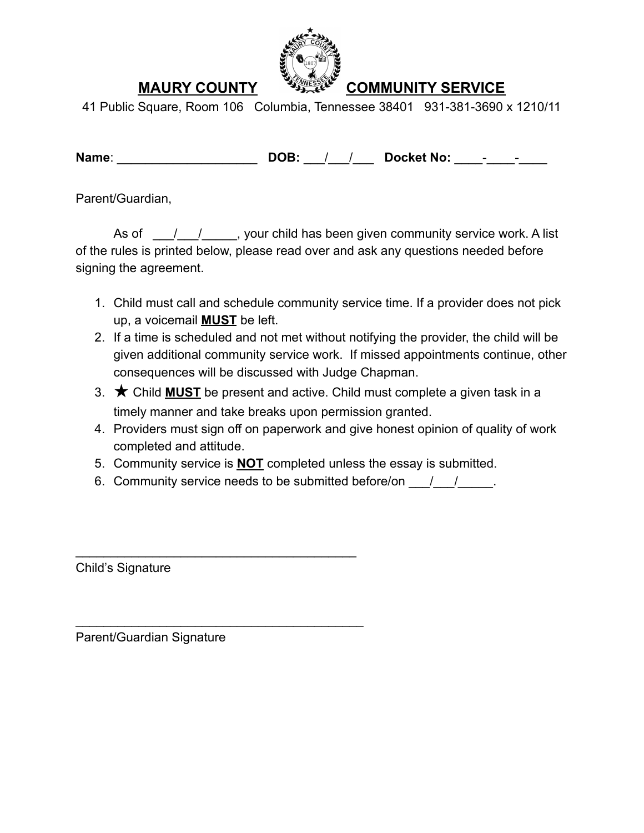

41 Public Square, Room 106 Columbia, Tennessee 38401 931-381-3690 x 1210/11

**Name: DOB:** / / **Docket No:** \_\_\_\_

Parent/Guardian,

As of  $\frac{1}{2}$  /  $\frac{1}{2}$ , your child has been given community service work. A list of the rules is printed below, please read over and ask any questions needed before signing the agreement.

- 1. Child must call and schedule community service time. If a provider does not pick up, a voicemail **MUST** be left.
- 2. If a time is scheduled and not met without notifying the provider, the child will be given additional community service work. If missed appointments continue, other consequences will be discussed with Judge Chapman.
- 3. ★ Child **MUST** be present and active. Child must complete a given task in a timely manner and take breaks upon permission granted.
- 4. Providers must sign off on paperwork and give honest opinion of quality of work completed and attitude.
- 5. Community service is **NOT** completed unless the essay is submitted.
- 6. Community service needs to be submitted before/on  $\frac{1}{2}$

Child's Signature

Parent/Guardian Signature

 $\mathcal{L}_\text{max}$  and  $\mathcal{L}_\text{max}$  and  $\mathcal{L}_\text{max}$  and  $\mathcal{L}_\text{max}$ 

 $\mathcal{L}_\text{max}$  and  $\mathcal{L}_\text{max}$  and  $\mathcal{L}_\text{max}$  and  $\mathcal{L}_\text{max}$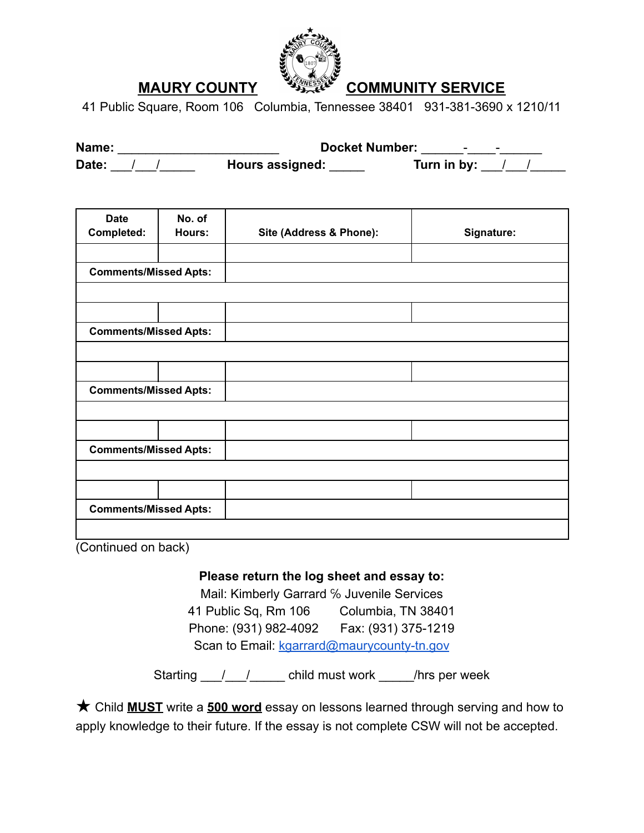

41 Public Square, Room 106 Columbia, Tennessee 38401 931-381-3690 x 1210/11

| Name: |  | <b>Docket Number:</b>  | -           |
|-------|--|------------------------|-------------|
| Date: |  | <b>Hours assigned:</b> | Turn in by: |

| <b>Date</b><br>Completed:    | No. of<br>Hours: | Site (Address & Phone): | Signature: |  |  |  |  |
|------------------------------|------------------|-------------------------|------------|--|--|--|--|
|                              |                  |                         |            |  |  |  |  |
| <b>Comments/Missed Apts:</b> |                  |                         |            |  |  |  |  |
|                              |                  |                         |            |  |  |  |  |
|                              |                  |                         |            |  |  |  |  |
| <b>Comments/Missed Apts:</b> |                  |                         |            |  |  |  |  |
|                              |                  |                         |            |  |  |  |  |
|                              |                  |                         |            |  |  |  |  |
| <b>Comments/Missed Apts:</b> |                  |                         |            |  |  |  |  |
|                              |                  |                         |            |  |  |  |  |
|                              |                  |                         |            |  |  |  |  |
| <b>Comments/Missed Apts:</b> |                  |                         |            |  |  |  |  |
|                              |                  |                         |            |  |  |  |  |
|                              |                  |                         |            |  |  |  |  |
| <b>Comments/Missed Apts:</b> |                  |                         |            |  |  |  |  |
|                              |                  |                         |            |  |  |  |  |

(Continued on back)

#### **Please return the log sheet and essay to:**

Mail: Kimberly Garrard % Juvenile Services 41 Public Sq, Rm 106 Columbia, TN 38401 Phone: (931) 982-4092 Fax: (931) 375-1219 Scan to Email: kgarrard@maurycounty-tn.gov

Starting 1. 1. 1. Child must work 1. Thrs per week

★ Child **MUST** write a **500 word** essay on lessons learned through serving and how to apply knowledge to their future. If the essay is not complete CSW will not be accepted.